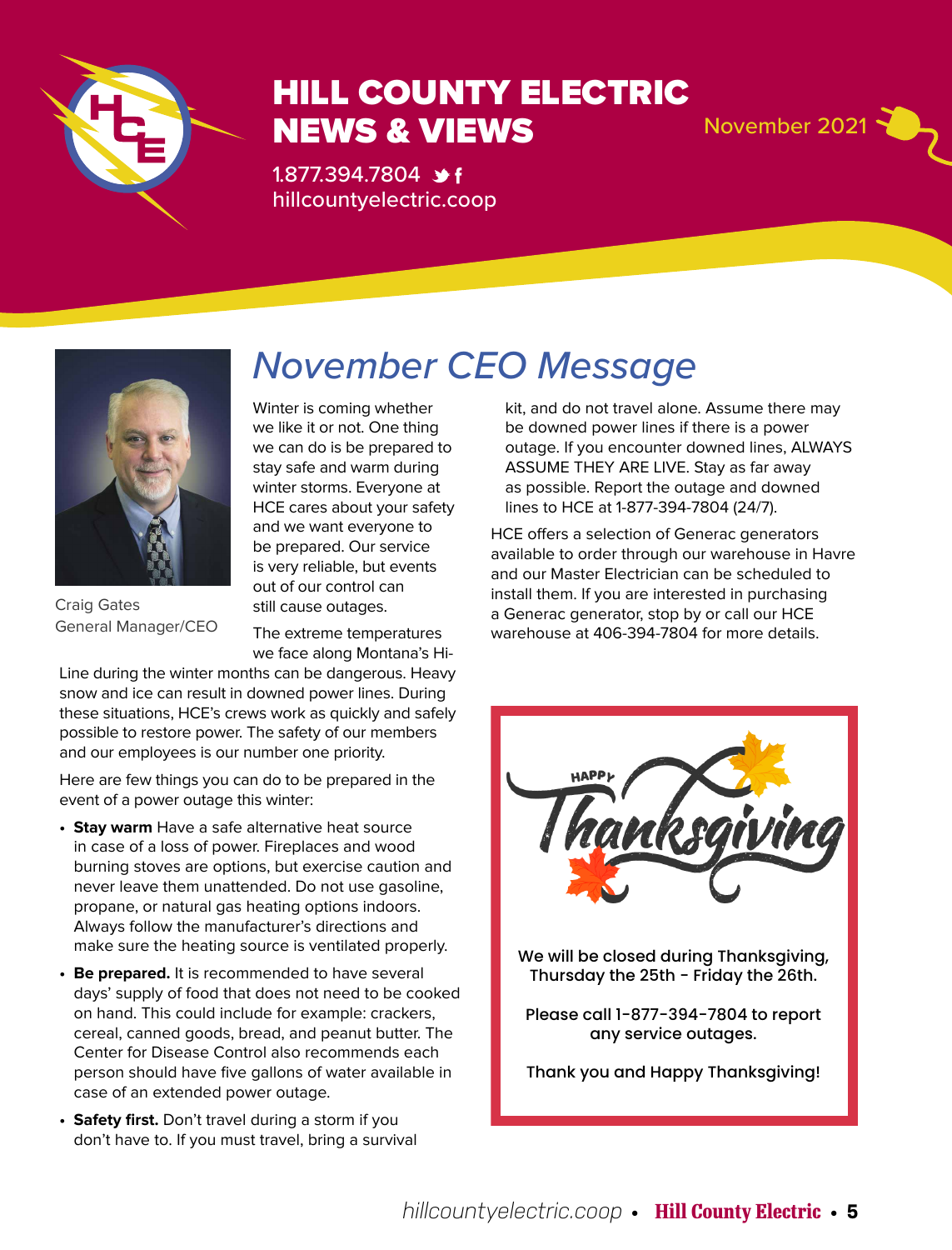

### HILL COUNTY ELECTRIC NEWS & VIEWS November 2021

1.877.394.7804 **\*** hillcountyelectric.coop



Craig Gates General Manager/CEO

## *November CEO Message*

Winter is coming whether we like it or not. One thing we can do is be prepared to stay safe and warm during winter storms. Everyone at HCE cares about your safety and we want everyone to be prepared. Our service is very reliable, but events out of our control can still cause outages.

The extreme temperatures we face along Montana's Hi-

Line during the winter months can be dangerous. Heavy snow and ice can result in downed power lines. During these situations, HCE's crews work as quickly and safely possible to restore power. The safety of our members and our employees is our number one priority.

Here are few things you can do to be prepared in the event of a power outage this winter:

- **Stay warm** Have a safe alternative heat source in case of a loss of power. Fireplaces and wood burning stoves are options, but exercise caution and never leave them unattended. Do not use gasoline, propane, or natural gas heating options indoors. Always follow the manufacturer's directions and make sure the heating source is ventilated properly.
- **Be prepared.** It is recommended to have several days' supply of food that does not need to be cooked on hand. This could include for example: crackers, cereal, canned goods, bread, and peanut butter. The Center for Disease Control also recommends each person should have five gallons of water available in case of an extended power outage.
- **Safety first.** Don't travel during a storm if you don't have to. If you must travel, bring a survival

kit, and do not travel alone. Assume there may be downed power lines if there is a power outage. If you encounter downed lines, ALWAYS ASSUME THEY ARE LIVE. Stay as far away as possible. Report the outage and downed lines to HCE at 1-877-394-7804 (24/7).

HCE offers a selection of Generac generators available to order through our warehouse in Havre and our Master Electrician can be scheduled to install them. If you are interested in purchasing a Generac generator, stop by or call our HCE warehouse at 406-394-7804 for more details.



Thank you and Happy Thanksgiving!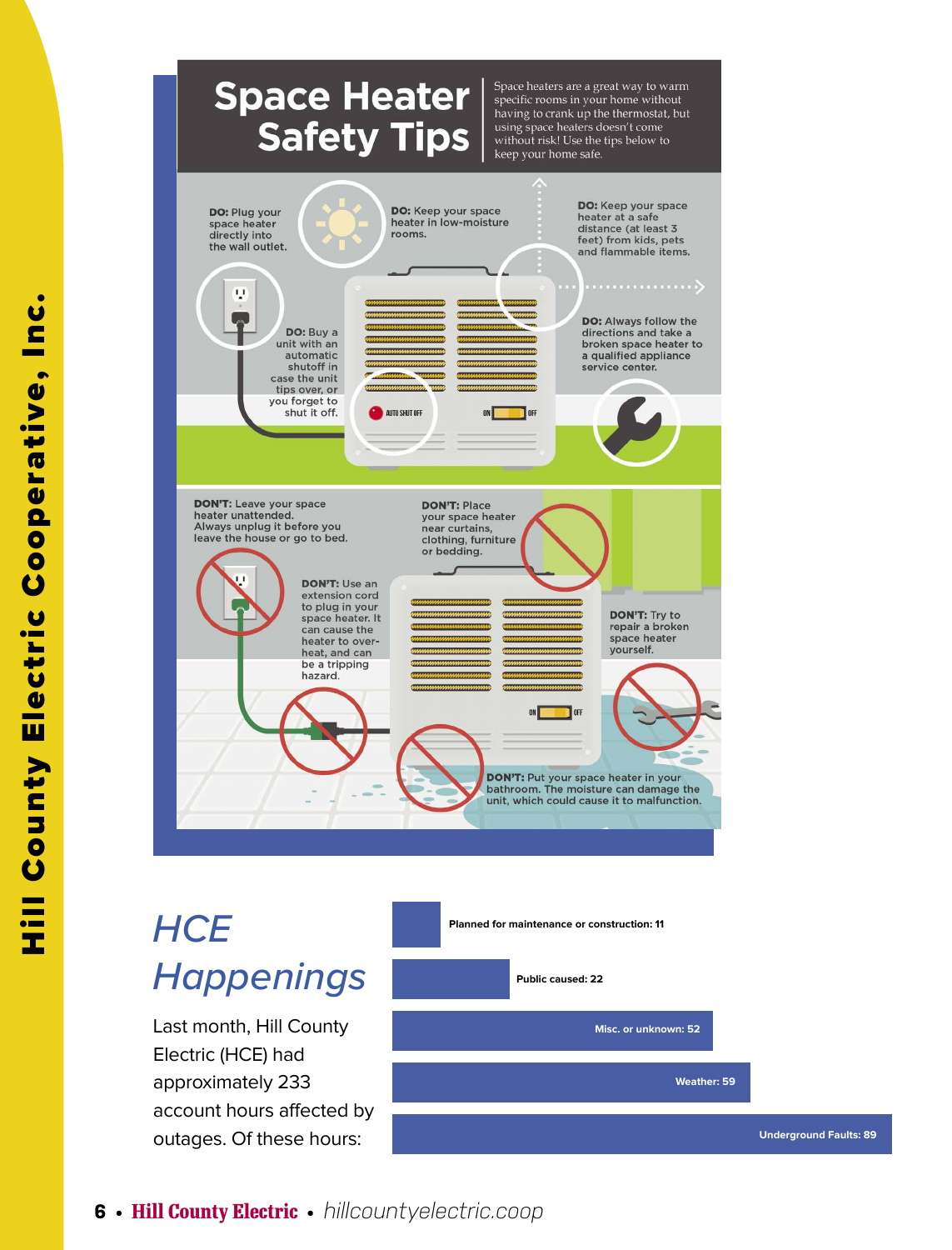### **Space Heater Safety Tips**

Space heaters are a great way to warm specific rooms in your home without having to crank up the thermostat, but using space heaters doesn't come<br>without risk! Use the tips below to keep your home safe.



# *HCE Happenings*

Last month, Hill County Electric (HCE) had approximately 233 account hours affected by outages. Of these hours:

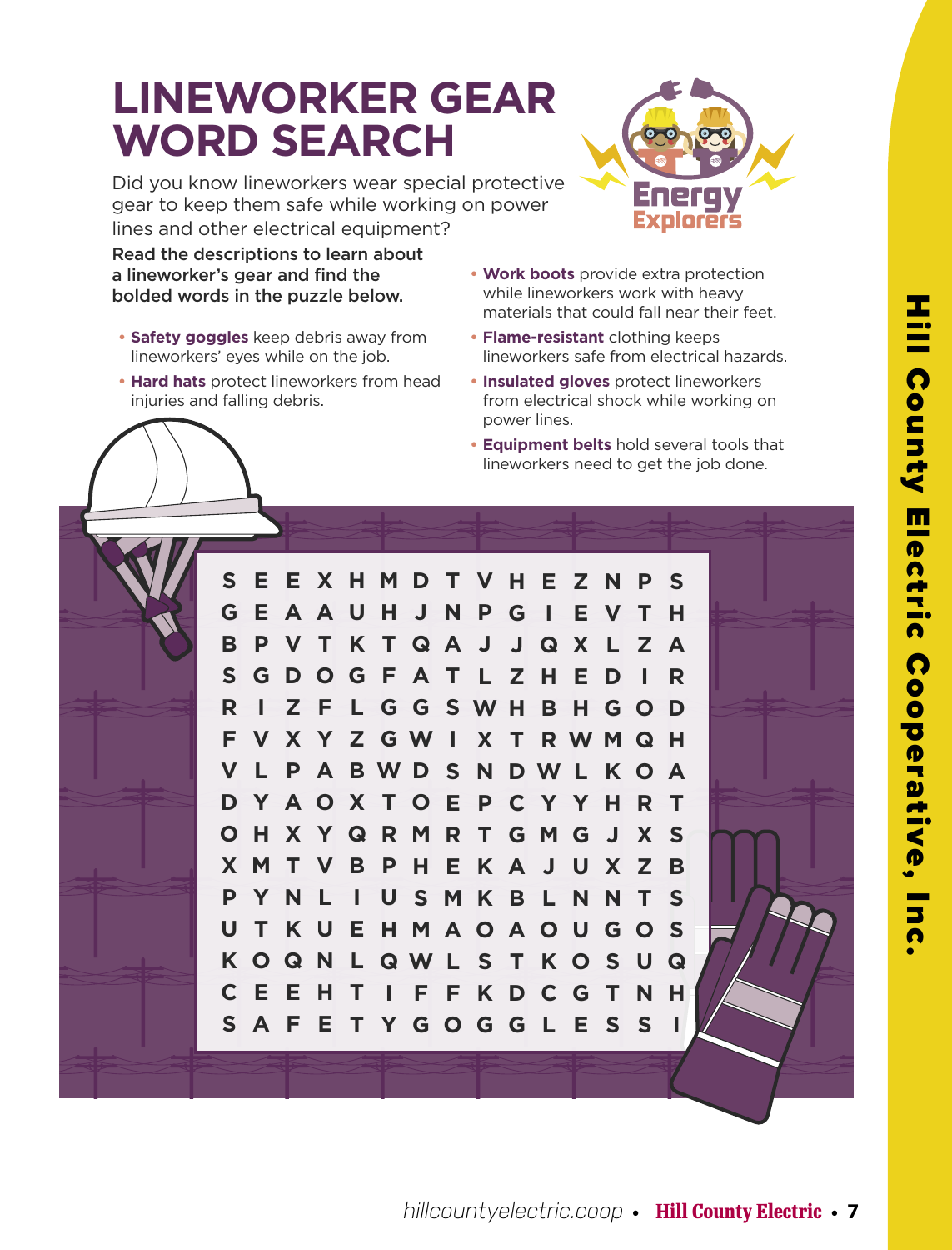# **LINEWORKER GEAR WORD SEARCH**

Did you know lineworkers wear special protective gear to keep them safe while working on power lines and other electrical equipment?

Read the descriptions to learn about a lineworker's gear and find the bolded words in the puzzle below.

- **• Safety goggles** keep debris away from lineworkers' eyes while on the job.
- **• Hard hats** protect lineworkers from head injuries and falling debris.
- **• Work boots** provide extra protection while lineworkers work with heavy materials that could fall near their feet.
- **• Flame-resistant** clothing keeps lineworkers safe from electrical hazards.
- **• Insulated gloves** protect lineworkers from electrical shock while working on power lines.
- **• Equipment belts** hold several tools that lineworkers need to get the job done.